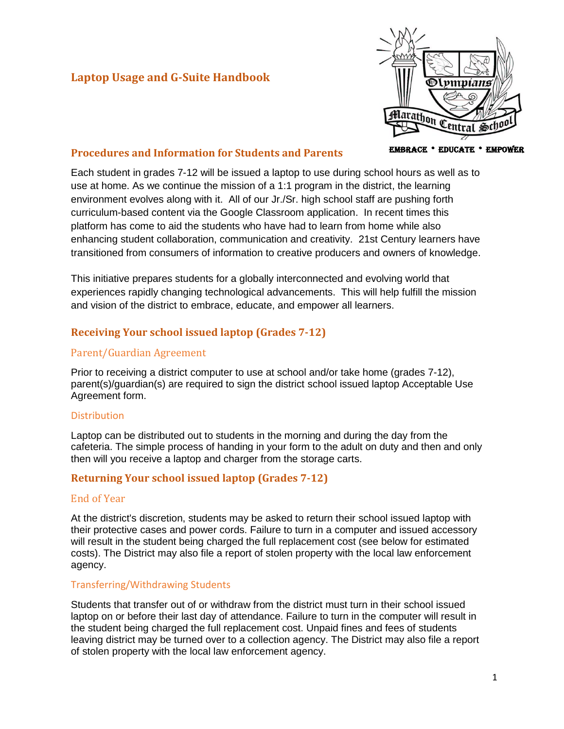# **Laptop Usage and G-Suite Handbook**



### **Procedures and Information for Students and Parents**

Each student in grades 7-12 will be issued a laptop to use during school hours as well as to use at home. As we continue the mission of a 1:1 program in the district, the learning environment evolves along with it. All of our Jr./Sr. high school staff are pushing forth curriculum-based content via the Google Classroom application. In recent times this platform has come to aid the students who have had to learn from home while also enhancing student collaboration, communication and creativity. 21st Century learners have transitioned from consumers of information to creative producers and owners of knowledge.

This initiative prepares students for a globally interconnected and evolving world that experiences rapidly changing technological advancements. This will help fulfill the mission and vision of the district to embrace, educate, and empower all learners.

## **Receiving Your school issued laptop (Grades 7-12)**

### Parent/Guardian Agreement

Prior to receiving a district computer to use at school and/or take home (grades 7-12), parent(s)/guardian(s) are required to sign the district school issued laptop Acceptable Use Agreement form.

### **Distribution**

Laptop can be distributed out to students in the morning and during the day from the cafeteria. The simple process of handing in your form to the adult on duty and then and only then will you receive a laptop and charger from the storage carts.

## **Returning Your school issued laptop (Grades 7-12)**

### End of Year

At the district's discretion, students may be asked to return their school issued laptop with their protective cases and power cords. Failure to turn in a computer and issued accessory will result in the student being charged the full replacement cost (see below for estimated costs). The District may also file a report of stolen property with the local law enforcement agency.

### Transferring/Withdrawing Students

Students that transfer out of or withdraw from the district must turn in their school issued laptop on or before their last day of attendance. Failure to turn in the computer will result in the student being charged the full replacement cost. Unpaid fines and fees of students leaving district may be turned over to a collection agency. The District may also file a report of stolen property with the local law enforcement agency.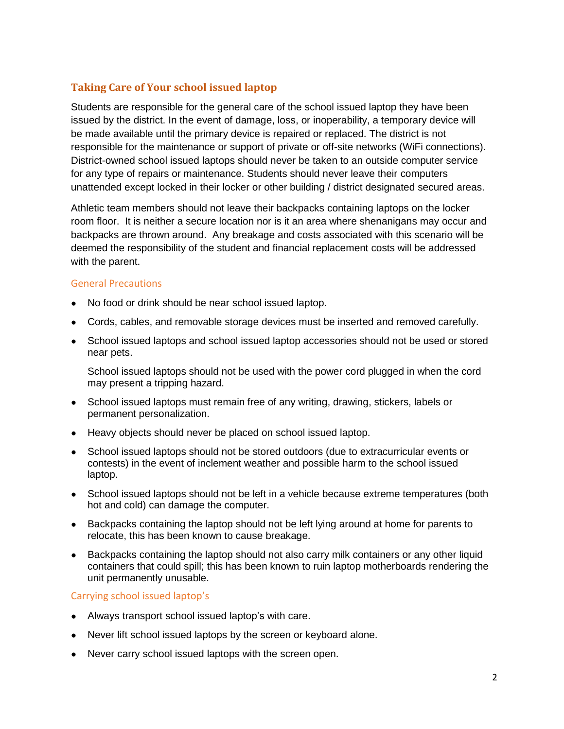# **Taking Care of Your school issued laptop**

Students are responsible for the general care of the school issued laptop they have been issued by the district. In the event of damage, loss, or inoperability, a temporary device will be made available until the primary device is repaired or replaced. The district is not responsible for the maintenance or support of private or off-site networks (WiFi connections). District-owned school issued laptops should never be taken to an outside computer service for any type of repairs or maintenance. Students should never leave their computers unattended except locked in their locker or other building / district designated secured areas.

Athletic team members should not leave their backpacks containing laptops on the locker room floor. It is neither a secure location nor is it an area where shenanigans may occur and backpacks are thrown around. Any breakage and costs associated with this scenario will be deemed the responsibility of the student and financial replacement costs will be addressed with the parent.

### General Precautions

- No food or drink should be near school issued laptop.
- Cords, cables, and removable storage devices must be inserted and removed carefully.
- School issued laptops and school issued laptop accessories should not be used or stored near pets.

School issued laptops should not be used with the power cord plugged in when the cord may present a tripping hazard.

- School issued laptops must remain free of any writing, drawing, stickers, labels or permanent personalization.
- Heavy objects should never be placed on school issued laptop.
- School issued laptops should not be stored outdoors (due to extracurricular events or contests) in the event of inclement weather and possible harm to the school issued laptop.
- School issued laptops should not be left in a vehicle because extreme temperatures (both hot and cold) can damage the computer.
- Backpacks containing the laptop should not be left lying around at home for parents to relocate, this has been known to cause breakage.
- Backpacks containing the laptop should not also carry milk containers or any other liquid containers that could spill; this has been known to ruin laptop motherboards rendering the unit permanently unusable.

### Carrying school issued laptop's

- Always transport school issued laptop's with care.
- Never lift school issued laptops by the screen or keyboard alone.
- Never carry school issued laptops with the screen open.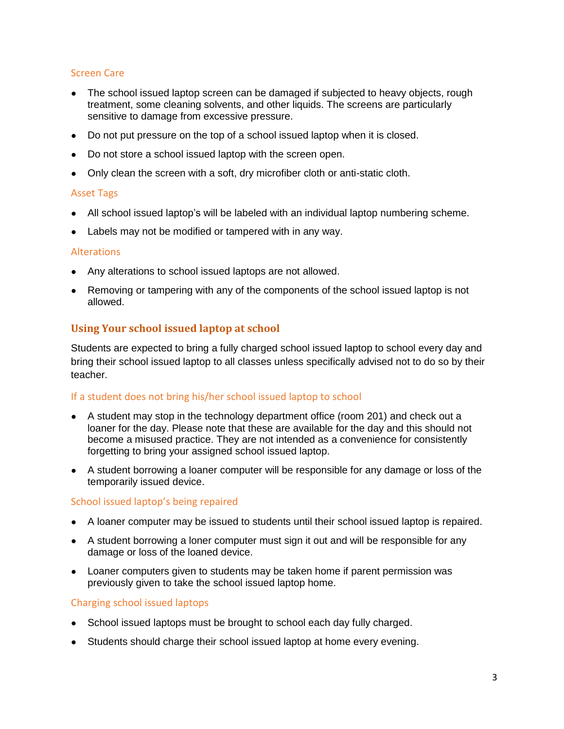## Screen Care

- The school issued laptop screen can be damaged if subjected to heavy objects, rough treatment, some cleaning solvents, and other liquids. The screens are particularly sensitive to damage from excessive pressure.
- Do not put pressure on the top of a school issued laptop when it is closed.
- Do not store a school issued laptop with the screen open.
- Only clean the screen with a soft, dry microfiber cloth or anti-static cloth.

#### Asset Tags

- All school issued laptop's will be labeled with an individual laptop numbering scheme.
- Labels may not be modified or tampered with in any way.

#### Alterations

- Any alterations to school issued laptops are not allowed.
- Removing or tampering with any of the components of the school issued laptop is not allowed.

## **Using Your school issued laptop at school**

Students are expected to bring a fully charged school issued laptop to school every day and bring their school issued laptop to all classes unless specifically advised not to do so by their teacher.

### If a student does not bring his/her school issued laptop to school

- A student may stop in the technology department office (room 201) and check out a loaner for the day. Please note that these are available for the day and this should not become a misused practice. They are not intended as a convenience for consistently forgetting to bring your assigned school issued laptop.
- A student borrowing a loaner computer will be responsible for any damage or loss of the temporarily issued device.

### School issued laptop's being repaired

- A loaner computer may be issued to students until their school issued laptop is repaired.
- A student borrowing a loner computer must sign it out and will be responsible for any damage or loss of the loaned device.
- Loaner computers given to students may be taken home if parent permission was previously given to take the school issued laptop home.

### Charging school issued laptops

- School issued laptops must be brought to school each day fully charged.
- Students should charge their school issued laptop at home every evening.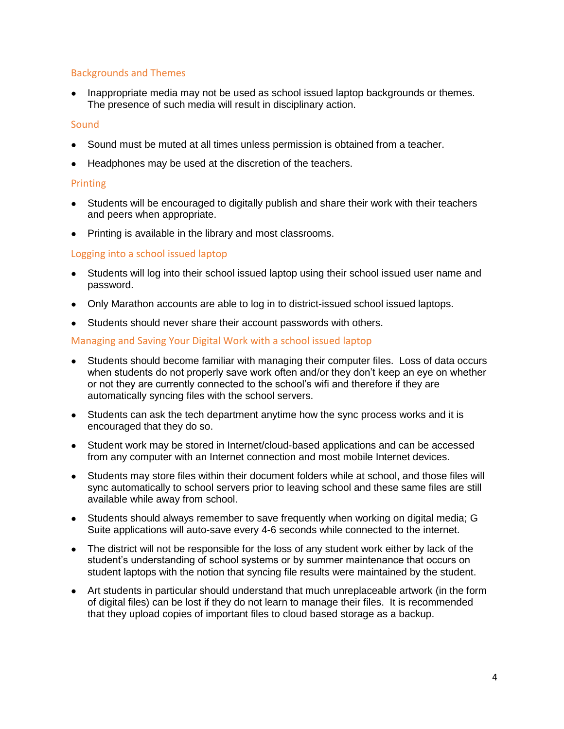### Backgrounds and Themes

• Inappropriate media may not be used as school issued laptop backgrounds or themes. The presence of such media will result in disciplinary action.

#### **Sound**

- Sound must be muted at all times unless permission is obtained from a teacher.
- Headphones may be used at the discretion of the teachers.

#### **Printing**

- Students will be encouraged to digitally publish and share their work with their teachers and peers when appropriate.
- Printing is available in the library and most classrooms.

### Logging into a school issued laptop

- Students will log into their school issued laptop using their school issued user name and password.
- Only Marathon accounts are able to log in to district-issued school issued laptops.
- Students should never share their account passwords with others.

#### Managing and Saving Your Digital Work with a school issued laptop

- Students should become familiar with managing their computer files. Loss of data occurs when students do not properly save work often and/or they don't keep an eye on whether or not they are currently connected to the school's wifi and therefore if they are automatically syncing files with the school servers.
- Students can ask the tech department anytime how the sync process works and it is encouraged that they do so.
- Student work may be stored in Internet/cloud-based applications and can be accessed from any computer with an Internet connection and most mobile Internet devices.
- Students may store files within their document folders while at school, and those files will sync automatically to school servers prior to leaving school and these same files are still available while away from school.
- Students should always remember to save frequently when working on digital media; G Suite applications will auto-save every 4-6 seconds while connected to the internet.
- The district will not be responsible for the loss of any student work either by lack of the student's understanding of school systems or by summer maintenance that occurs on student laptops with the notion that syncing file results were maintained by the student.
- Art students in particular should understand that much unreplaceable artwork (in the form of digital files) can be lost if they do not learn to manage their files. It is recommended that they upload copies of important files to cloud based storage as a backup.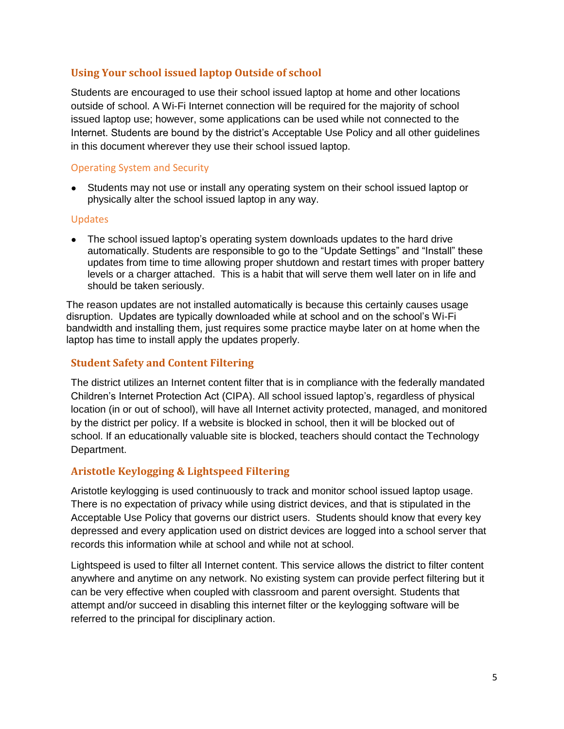## **Using Your school issued laptop Outside of school**

Students are encouraged to use their school issued laptop at home and other locations outside of school. A Wi-Fi Internet connection will be required for the majority of school issued laptop use; however, some applications can be used while not connected to the Internet. Students are bound by the district's Acceptable Use Policy and all other guidelines in this document wherever they use their school issued laptop.

### Operating System and Security

• Students may not use or install any operating system on their school issued laptop or physically alter the school issued laptop in any way.

### Updates

• The school issued laptop's operating system downloads updates to the hard drive automatically. Students are responsible to go to the "Update Settings" and "Install" these updates from time to time allowing proper shutdown and restart times with proper battery levels or a charger attached. This is a habit that will serve them well later on in life and should be taken seriously.

The reason updates are not installed automatically is because this certainly causes usage disruption. Updates are typically downloaded while at school and on the school's Wi-Fi bandwidth and installing them, just requires some practice maybe later on at home when the laptop has time to install apply the updates properly.

### **Student Safety and Content Filtering**

The district utilizes an Internet content filter that is in compliance with the federally mandated Children's Internet Protection Act (CIPA). All school issued laptop's, regardless of physical location (in or out of school), will have all Internet activity protected, managed, and monitored by the district per policy. If a website is blocked in school, then it will be blocked out of school. If an educationally valuable site is blocked, teachers should contact the Technology Department.

### **Aristotle Keylogging & Lightspeed Filtering**

Aristotle keylogging is used continuously to track and monitor school issued laptop usage. There is no expectation of privacy while using district devices, and that is stipulated in the Acceptable Use Policy that governs our district users. Students should know that every key depressed and every application used on district devices are logged into a school server that records this information while at school and while not at school.

Lightspeed is used to filter all Internet content. This service allows the district to filter content anywhere and anytime on any network. No existing system can provide perfect filtering but it can be very effective when coupled with classroom and parent oversight. Students that attempt and/or succeed in disabling this internet filter or the keylogging software will be referred to the principal for disciplinary action.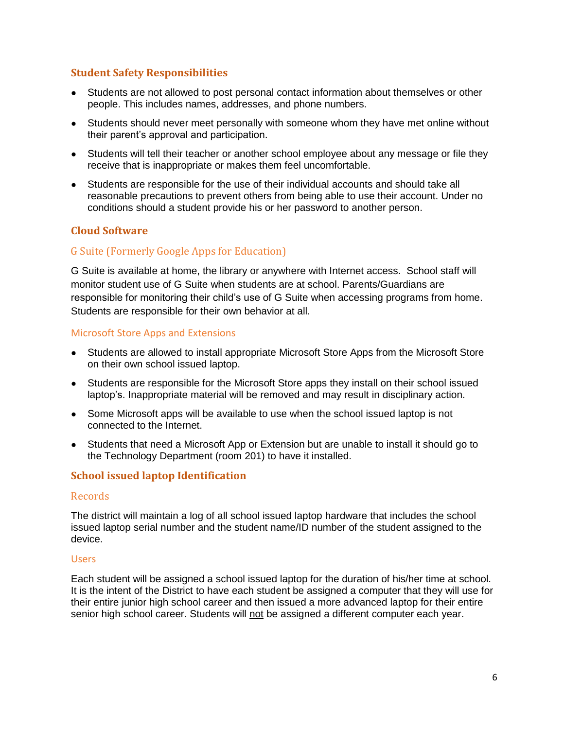### **Student Safety Responsibilities**

- Students are not allowed to post personal contact information about themselves or other people. This includes names, addresses, and phone numbers.
- Students should never meet personally with someone whom they have met online without their parent's approval and participation.
- Students will tell their teacher or another school employee about any message or file they receive that is inappropriate or makes them feel uncomfortable.
- Students are responsible for the use of their individual accounts and should take all reasonable precautions to prevent others from being able to use their account. Under no conditions should a student provide his or her password to another person.

## **Cloud Software**

## G Suite (Formerly Google Apps for Education)

G Suite is available at home, the library or anywhere with Internet access. School staff will monitor student use of G Suite when students are at school. Parents/Guardians are responsible for monitoring their child's use of G Suite when accessing programs from home. Students are responsible for their own behavior at all.

#### Microsoft Store Apps and Extensions

- Students are allowed to install appropriate Microsoft Store Apps from the Microsoft Store on their own school issued laptop.
- Students are responsible for the Microsoft Store apps they install on their school issued laptop's. Inappropriate material will be removed and may result in disciplinary action.
- Some Microsoft apps will be available to use when the school issued laptop is not connected to the Internet.
- Students that need a Microsoft App or Extension but are unable to install it should go to the Technology Department (room 201) to have it installed.

### **School issued laptop Identification**

### **Records**

The district will maintain a log of all school issued laptop hardware that includes the school issued laptop serial number and the student name/ID number of the student assigned to the device.

#### **Users**

Each student will be assigned a school issued laptop for the duration of his/her time at school. It is the intent of the District to have each student be assigned a computer that they will use for their entire junior high school career and then issued a more advanced laptop for their entire senior high school career. Students will not be assigned a different computer each year.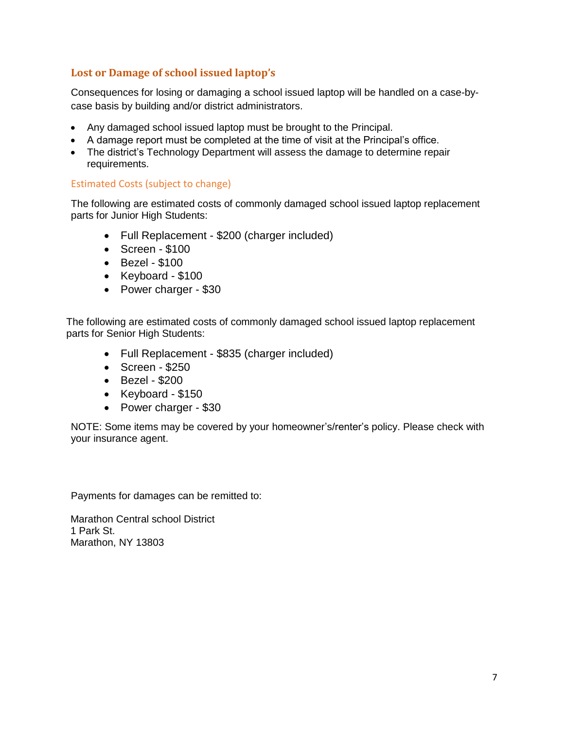# **Lost or Damage of school issued laptop's**

Consequences for losing or damaging a school issued laptop will be handled on a case-bycase basis by building and/or district administrators.

- Any damaged school issued laptop must be brought to the Principal.
- A damage report must be completed at the time of visit at the Principal's office.
- The district's Technology Department will assess the damage to determine repair requirements.

#### Estimated Costs (subject to change)

The following are estimated costs of commonly damaged school issued laptop replacement parts for Junior High Students:

- Full Replacement \$200 (charger included)
- Screen \$100
- Bezel \$100
- Keyboard \$100
- Power charger \$30

The following are estimated costs of commonly damaged school issued laptop replacement parts for Senior High Students:

- Full Replacement \$835 (charger included)
- Screen \$250
- Bezel \$200
- Keyboard \$150
- Power charger \$30

NOTE: Some items may be covered by your homeowner's/renter's policy. Please check with your insurance agent.

Payments for damages can be remitted to:

Marathon Central school District 1 Park St. Marathon, NY 13803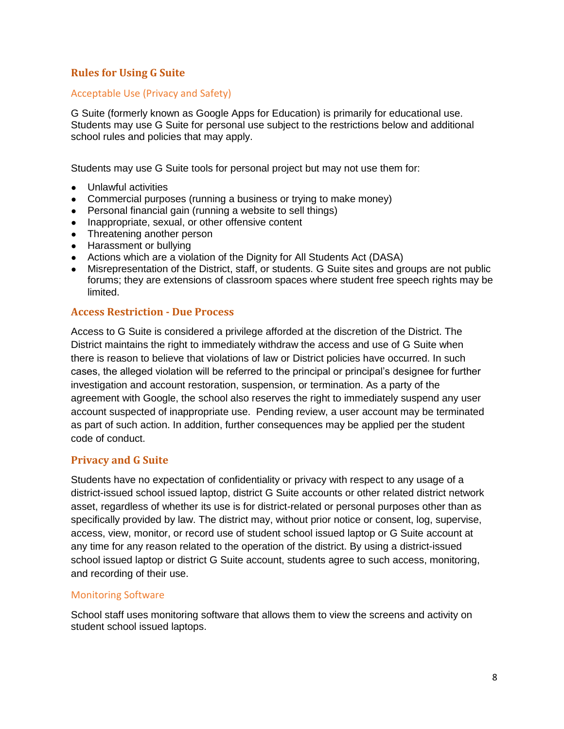## **Rules for Using G Suite**

### Acceptable Use (Privacy and Safety)

G Suite (formerly known as Google Apps for Education) is primarily for educational use. Students may use G Suite for personal use subject to the restrictions below and additional school rules and policies that may apply.

Students may use G Suite tools for personal project but may not use them for:

- Unlawful activities
- Commercial purposes (running a business or trying to make money)
- Personal financial gain (running a website to sell things)
- Inappropriate, sexual, or other offensive content
- Threatening another person
- Harassment or bullying
- Actions which are a violation of the Dignity for All Students Act (DASA)
- Misrepresentation of the District, staff, or students. G Suite sites and groups are not public forums; they are extensions of classroom spaces where student free speech rights may be limited.

### **Access Restriction - Due Process**

Access to G Suite is considered a privilege afforded at the discretion of the District. The District maintains the right to immediately withdraw the access and use of G Suite when there is reason to believe that violations of law or District policies have occurred. In such cases, the alleged violation will be referred to the principal or principal's designee for further investigation and account restoration, suspension, or termination. As a party of the agreement with Google, the school also reserves the right to immediately suspend any user account suspected of inappropriate use. Pending review, a user account may be terminated as part of such action. In addition, further consequences may be applied per the student code of conduct.

## **Privacy and G Suite**

Students have no expectation of confidentiality or privacy with respect to any usage of a district-issued school issued laptop, district G Suite accounts or other related district network asset, regardless of whether its use is for district-related or personal purposes other than as specifically provided by law. The district may, without prior notice or consent, log, supervise, access, view, monitor, or record use of student school issued laptop or G Suite account at any time for any reason related to the operation of the district. By using a district-issued school issued laptop or district G Suite account, students agree to such access, monitoring, and recording of their use.

### Monitoring Software

School staff uses monitoring software that allows them to view the screens and activity on student school issued laptops.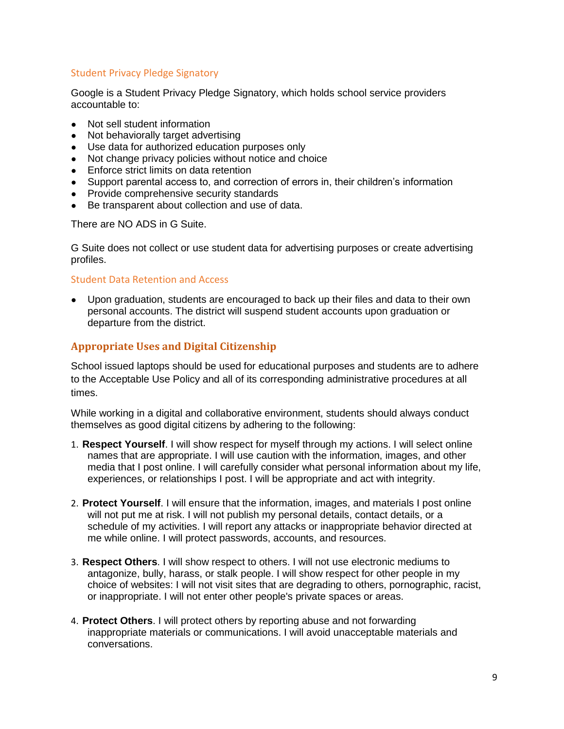## Student Privacy Pledge Signatory

Google is a Student Privacy Pledge Signatory, which holds school service providers accountable to:

- Not sell student information
- Not behaviorally target advertising
- Use data for authorized education purposes only
- Not change privacy policies without notice and choice
- Enforce strict limits on data retention
- Support parental access to, and correction of errors in, their children's information
- Provide comprehensive security standards
- Be transparent about collection and use of data.

There are NO ADS in G Suite.

G Suite does not collect or use student data for advertising purposes or create advertising profiles.

#### Student Data Retention and Access

● Upon graduation, students are encouraged to back up their files and data to their own personal accounts. The district will suspend student accounts upon graduation or departure from the district.

### **Appropriate Uses and Digital Citizenship**

School issued laptops should be used for educational purposes and students are to adhere to the Acceptable Use Policy and all of its corresponding administrative procedures at all times.

While working in a digital and collaborative environment, students should always conduct themselves as good digital citizens by adhering to the following:

- 1. **Respect Yourself**. I will show respect for myself through my actions. I will select online names that are appropriate. I will use caution with the information, images, and other media that I post online. I will carefully consider what personal information about my life, experiences, or relationships I post. I will be appropriate and act with integrity.
- 2. **Protect Yourself**. I will ensure that the information, images, and materials I post online will not put me at risk. I will not publish my personal details, contact details, or a schedule of my activities. I will report any attacks or inappropriate behavior directed at me while online. I will protect passwords, accounts, and resources.
- 3. **Respect Others**. I will show respect to others. I will not use electronic mediums to antagonize, bully, harass, or stalk people. I will show respect for other people in my choice of websites: I will not visit sites that are degrading to others, pornographic, racist, or inappropriate. I will not enter other people's private spaces or areas.
- 4. **Protect Others**. I will protect others by reporting abuse and not forwarding inappropriate materials or communications. I will avoid unacceptable materials and conversations.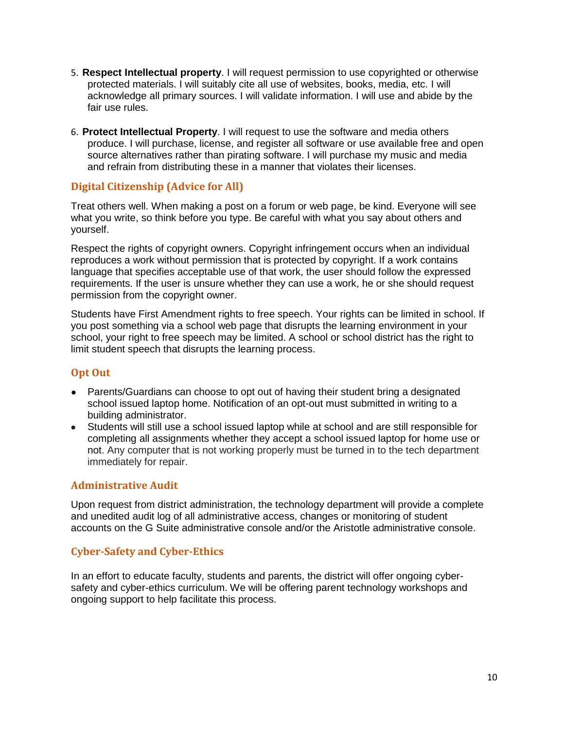- 5. **Respect Intellectual property**. I will request permission to use copyrighted or otherwise protected materials. I will suitably cite all use of websites, books, media, etc. I will acknowledge all primary sources. I will validate information. I will use and abide by the fair use rules.
- 6. **Protect Intellectual Property**. I will request to use the software and media others produce. I will purchase, license, and register all software or use available free and open source alternatives rather than pirating software. I will purchase my music and media and refrain from distributing these in a manner that violates their licenses.

## **Digital Citizenship (Advice for All)**

Treat others well. When making a post on a forum or web page, be kind. Everyone will see what you write, so think before you type. Be careful with what you say about others and yourself.

Respect the rights of copyright owners. Copyright infringement occurs when an individual reproduces a work without permission that is protected by copyright. If a work contains language that specifies acceptable use of that work, the user should follow the expressed requirements. If the user is unsure whether they can use a work, he or she should request permission from the copyright owner.

Students have First Amendment rights to free speech. Your rights can be limited in school. If you post something via a school web page that disrupts the learning environment in your school, your right to free speech may be limited. A school or school district has the right to limit student speech that disrupts the learning process.

## **Opt Out**

- Parents/Guardians can choose to opt out of having their student bring a designated school issued laptop home. Notification of an opt-out must submitted in writing to a building administrator.
- Students will still use a school issued laptop while at school and are still responsible for completing all assignments whether they accept a school issued laptop for home use or not. Any computer that is not working properly must be turned in to the tech department immediately for repair.

## **Administrative Audit**

Upon request from district administration, the technology department will provide a complete and unedited audit log of all administrative access, changes or monitoring of student accounts on the G Suite administrative console and/or the Aristotle administrative console.

## **Cyber-Safety and Cyber-Ethics**

In an effort to educate faculty, students and parents, the district will offer ongoing cybersafety and cyber-ethics curriculum. We will be offering parent technology workshops and ongoing support to help facilitate this process.